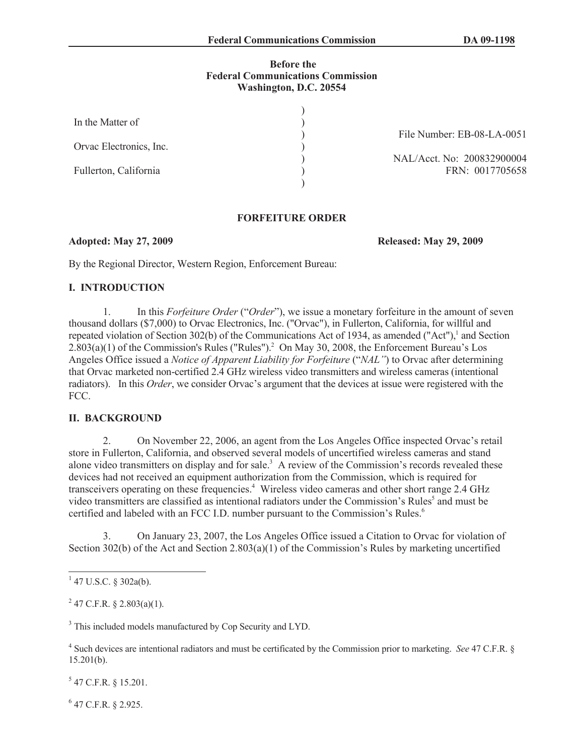#### **Before the Federal Communications Commission Washington, D.C. 20554**

| In the Matter of        |  |
|-------------------------|--|
| Orvac Electronics, Inc. |  |
| Fullerton, California   |  |
|                         |  |

File Number: EB-08-LA-0051

NAL/Acct. No: 200832900004 FRN: 0017705658

## **FORFEITURE ORDER**

### **Adopted: May 27, 2009 Released: May 29, 2009**

By the Regional Director, Western Region, Enforcement Bureau:

### **I. INTRODUCTION**

1. In this *Forfeiture Order* ("*Order*"), we issue a monetary forfeiture in the amount of seven thousand dollars (\$7,000) to Orvac Electronics, Inc. ("Orvac"), in Fullerton, California, for willful and repeated violation of Section 302(b) of the Communications Act of 1934, as amended ("Act"),<sup>1</sup> and Section  $2.803(a)(1)$  of the Commission's Rules ("Rules").<sup>2</sup> On May 30, 2008, the Enforcement Bureau's Los Angeles Office issued a *Notice of Apparent Liability for Forfeiture* ("*NAL"*) to Orvac after determining that Orvac marketed non-certified 2.4 GHz wireless video transmitters and wireless cameras (intentional radiators). In this *Order*, we consider Orvac's argument that the devices at issue were registered with the FCC.

# **II. BACKGROUND**

2. On November 22, 2006, an agent from the Los Angeles Office inspected Orvac's retail store in Fullerton, California, and observed several models of uncertified wireless cameras and stand alone video transmitters on display and for sale.<sup>3</sup> A review of the Commission's records revealed these devices had not received an equipment authorization from the Commission, which is required for transceivers operating on these frequencies.<sup>4</sup> Wireless video cameras and other short range 2.4 GHz video transmitters are classified as intentional radiators under the Commission's Rules<sup>5</sup> and must be certified and labeled with an FCC I.D. number pursuant to the Commission's Rules.<sup>6</sup>

3. On January 23, 2007, the Los Angeles Office issued a Citation to Orvac for violation of Section 302(b) of the Act and Section 2.803(a)(1) of the Commission's Rules by marketing uncertified

 $2^{2}$  47 C.F.R. § 2.803(a)(1).

<sup>3</sup> This included models manufactured by Cop Security and LYD.

 $5$  47 C.F.R. § 15.201.

6 47 C.F.R. § 2.925.

 $1$  47 U.S.C. § 302a(b).

<sup>4</sup> Such devices are intentional radiators and must be certificated by the Commission prior to marketing. *See* 47 C.F.R. § 15.201(b).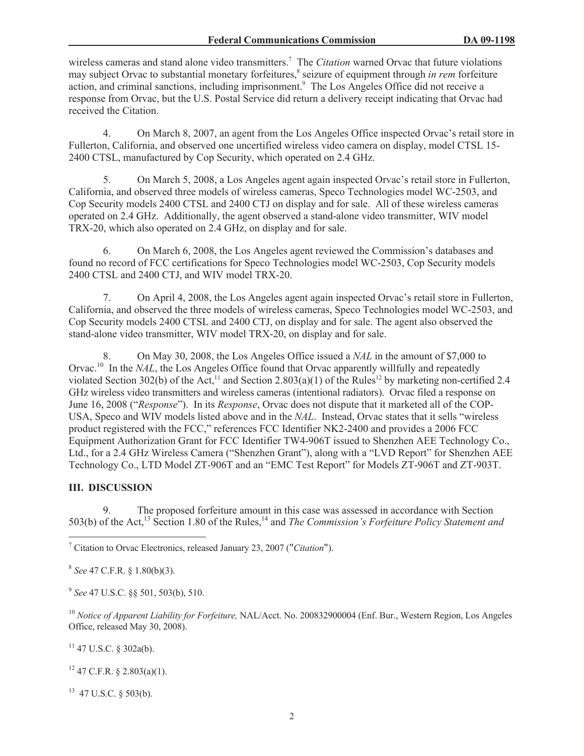wireless cameras and stand alone video transmitters.<sup>7</sup> The *Citation* warned Orvac that future violations may subject Orvac to substantial monetary forfeitures,<sup>8</sup> seizure of equipment through *in rem* forfeiture action, and criminal sanctions, including imprisonment.<sup>9</sup> The Los Angeles Office did not receive a response from Orvac, but the U.S. Postal Service did return a delivery receipt indicating that Orvac had received the Citation.

4. On March 8, 2007, an agent from the Los Angeles Office inspected Orvac's retail store in Fullerton, California, and observed one uncertified wireless video camera on display, model CTSL 15- 2400 CTSL, manufactured by Cop Security, which operated on 2.4 GHz.

5. On March 5, 2008, a Los Angeles agent again inspected Orvac's retail store in Fullerton, California, and observed three models of wireless cameras, Speco Technologies model WC-2503, and Cop Security models 2400 CTSL and 2400 CTJ on display and for sale. All of these wireless cameras operated on 2.4 GHz. Additionally, the agent observed a stand-alone video transmitter, WIV model TRX-20, which also operated on 2.4 GHz, on display and for sale.

6. On March 6, 2008, the Los Angeles agent reviewed the Commission's databases and found no record of FCC certifications for Speco Technologies model WC-2503, Cop Security models 2400 CTSL and 2400 CTJ, and WIV model TRX-20.

7. On April 4, 2008, the Los Angeles agent again inspected Orvac's retail store in Fullerton, California, and observed the three models of wireless cameras, Speco Technologies model WC-2503, and Cop Security models 2400 CTSL and 2400 CTJ, on display and for sale. The agent also observed the stand-alone video transmitter, WIV model TRX-20, on display and for sale.

8. On May 30, 2008, the Los Angeles Office issued a *NAL* in the amount of \$7,000 to Orvac.<sup>10</sup> In the *NAL*, the Los Angeles Office found that Orvac apparently willfully and repeatedly violated Section 302(b) of the Act,<sup>11</sup> and Section 2.803(a)(1) of the Rules<sup>12</sup> by marketing non-certified 2.4 GHz wireless video transmitters and wireless cameras (intentional radiators). Orvac filed a response on June 16, 2008 ("*Response*"). In its *Response*, Orvac does not dispute that it marketed all of the COP-USA, Speco and WIV models listed above and in the *NAL*. Instead, Orvac states that it sells "wireless product registered with the FCC," references FCC Identifier NK2-2400 and provides a 2006 FCC Equipment Authorization Grant for FCC Identifier TW4-906T issued to Shenzhen AEE Technology Co., Ltd., for a 2.4 GHz Wireless Camera ("Shenzhen Grant"), along with a "LVD Report" for Shenzhen AEE Technology Co., LTD Model ZT-906T and an "EMC Test Report" for Models ZT-906T and ZT-903T.

### **III. DISCUSSION**

9. The proposed forfeiture amount in this case was assessed in accordance with Section 503(b) of the Act,<sup>13</sup> Section 1.80 of the Rules,<sup>14</sup> and *The Commission's Forfeiture Policy Statement and* 

8 *See* 47 C.F.R. § 1.80(b)(3).

9 *See* 47 U.S.C. §§ 501, 503(b), 510.

<sup>10</sup> *Notice of Apparent Liability for Forfeiture, NAL/Acct. No. 200832900004 (Enf. Bur., Western Region, Los Angeles* Office, released May 30, 2008).

 $11$  47 U.S.C. § 302a(b).

 $12$  47 C.F.R. § 2.803(a)(1).

<sup>13</sup> 47 U.S.C. § 503(b).

<sup>7</sup> Citation to Orvac Electronics, released January 23, 2007 ("*Citation*").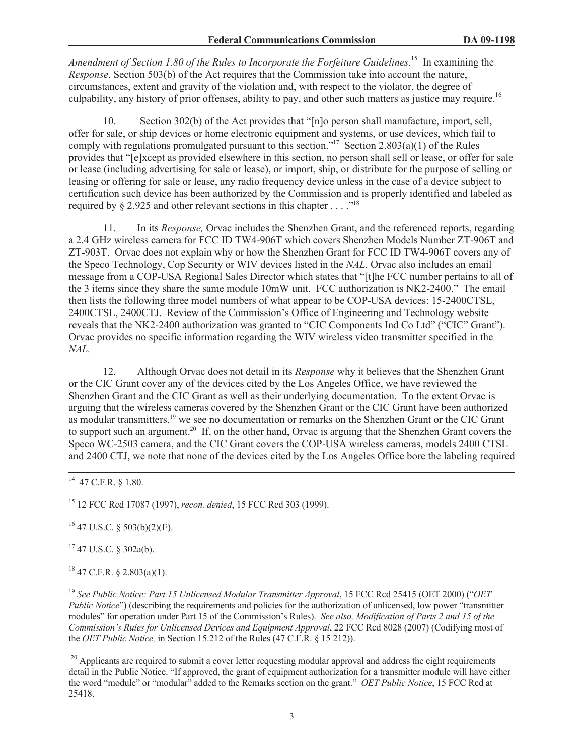*Amendment of Section 1.80 of the Rules to Incorporate the Forfeiture Guidelines*. <sup>15</sup> In examining the *Response*, Section 503(b) of the Act requires that the Commission take into account the nature, circumstances, extent and gravity of the violation and, with respect to the violator, the degree of culpability, any history of prior offenses, ability to pay, and other such matters as justice may require.<sup>16</sup>

10. Section 302(b) of the Act provides that "[n]o person shall manufacture, import, sell, offer for sale, or ship devices or home electronic equipment and systems, or use devices, which fail to comply with regulations promulgated pursuant to this section."<sup>17</sup> Section 2.803(a)(1) of the Rules provides that "[e]xcept as provided elsewhere in this section, no person shall sell or lease, or offer for sale or lease (including advertising for sale or lease), or import, ship, or distribute for the purpose of selling or leasing or offering for sale or lease, any radio frequency device unless in the case of a device subject to certification such device has been authorized by the Commission and is properly identified and labeled as required by  $\S 2.925$  and other relevant sections in this chapter . . . . .<sup>18</sup>

11. In its *Response,* Orvac includes the Shenzhen Grant, and the referenced reports, regarding a 2.4 GHz wireless camera for FCC ID TW4-906T which covers Shenzhen Models Number ZT-906T and ZT-903T. Orvac does not explain why or how the Shenzhen Grant for FCC ID TW4-906T covers any of the Speco Technology, Cop Security or WIV devices listed in the *NAL*. Orvac also includes an email message from a COP-USA Regional Sales Director which states that "[t]he FCC number pertains to all of the 3 items since they share the same module 10mW unit. FCC authorization is NK2-2400." The email then lists the following three model numbers of what appear to be COP-USA devices: 15-2400CTSL, 2400CTSL, 2400CTJ. Review of the Commission's Office of Engineering and Technology website reveals that the NK2-2400 authorization was granted to "CIC Components Ind Co Ltd" ("CIC" Grant"). Orvac provides no specific information regarding the WIV wireless video transmitter specified in the *NAL.*

12. Although Orvac does not detail in its *Response* why it believes that the Shenzhen Grant or the CIC Grant cover any of the devices cited by the Los Angeles Office, we have reviewed the Shenzhen Grant and the CIC Grant as well as their underlying documentation. To the extent Orvac is arguing that the wireless cameras covered by the Shenzhen Grant or the CIC Grant have been authorized as modular transmitters,<sup>19</sup> we see no documentation or remarks on the Shenzhen Grant or the CIC Grant to support such an argument.<sup>20</sup> If, on the other hand, Orvac is arguing that the Shenzhen Grant covers the Speco WC-2503 camera, and the CIC Grant covers the COP-USA wireless cameras, models 2400 CTSL and 2400 CTJ, we note that none of the devices cited by the Los Angeles Office bore the labeling required

<sup>15</sup> 12 FCC Rcd 17087 (1997), *recon. denied*, 15 FCC Rcd 303 (1999).

 $16$  47 U.S.C. § 503(b)(2)(E).

<sup>17</sup> 47 U.S.C. § 302a(b).

 $18$  47 C.F.R. § 2.803(a)(1).

<sup>19</sup> *See Public Notice: Part 15 Unlicensed Modular Transmitter Approval*, 15 FCC Rcd 25415 (OET 2000) ("*OET Public Notice*") (describing the requirements and policies for the authorization of unlicensed, low power "transmitter" modules" for operation under Part 15 of the Commission's Rules). *See also, Modification of Parts 2 and 15 of the Commission's Rules for Unlicensed Devices and Equipment Approval*, 22 FCC Rcd 8028 (2007) (Codifying most of the *OET Public Notice,* in Section 15.212 of the Rules (47 C.F.R. § 15 212)).

 $20$  Applicants are required to submit a cover letter requesting modular approval and address the eight requirements detail in the Public Notice. "If approved, the grant of equipment authorization for a transmitter module will have either the word "module" or "modular" added to the Remarks section on the grant." *OET Public Notice*, 15 FCC Rcd at 25418.

 $14$  47 C.F.R. § 1.80.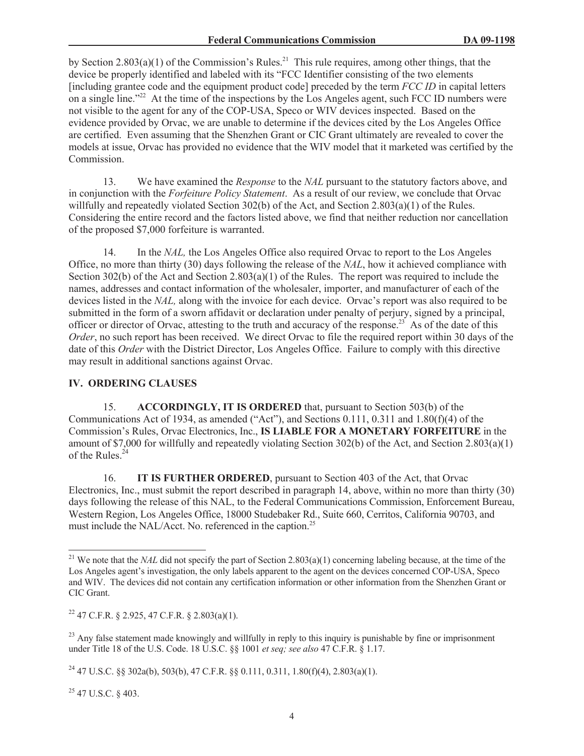by Section 2.803(a)(1) of the Commission's Rules.<sup>21</sup> This rule requires, among other things, that the device be properly identified and labeled with its "FCC Identifier consisting of the two elements [including grantee code and the equipment product code] preceded by the term *FCC ID* in capital letters on a single line."<sup>22</sup> At the time of the inspections by the Los Angeles agent, such FCC ID numbers were not visible to the agent for any of the COP-USA, Speco or WIV devices inspected. Based on the evidence provided by Orvac, we are unable to determine if the devices cited by the Los Angeles Office are certified. Even assuming that the Shenzhen Grant or CIC Grant ultimately are revealed to cover the models at issue, Orvac has provided no evidence that the WIV model that it marketed was certified by the Commission.

13. We have examined the *Response* to the *NAL* pursuant to the statutory factors above, and in conjunction with the *Forfeiture Policy Statement*. As a result of our review, we conclude that Orvac willfully and repeatedly violated Section 302(b) of the Act, and Section 2.803(a)(1) of the Rules. Considering the entire record and the factors listed above, we find that neither reduction nor cancellation of the proposed \$7,000 forfeiture is warranted.

14. In the *NAL,* the Los Angeles Office also required Orvac to report to the Los Angeles Office, no more than thirty (30) days following the release of the *NAL*, how it achieved compliance with Section 302(b) of the Act and Section 2.803(a)(1) of the Rules. The report was required to include the names, addresses and contact information of the wholesaler, importer, and manufacturer of each of the devices listed in the *NAL,* along with the invoice for each device. Orvac's report was also required to be submitted in the form of a sworn affidavit or declaration under penalty of perjury, signed by a principal, officer or director of Orvac, attesting to the truth and accuracy of the response.<sup>23</sup> As of the date of this *Order*, no such report has been received. We direct Orvac to file the required report within 30 days of the date of this *Order* with the District Director, Los Angeles Office. Failure to comply with this directive may result in additional sanctions against Orvac.

# **IV. ORDERING CLAUSES**

15. **ACCORDINGLY, IT IS ORDERED** that, pursuant to Section 503(b) of the Communications Act of 1934, as amended ("Act"), and Sections 0.111, 0.311 and 1.80(f)(4) of the Commission's Rules, Orvac Electronics, Inc., **IS LIABLE FOR A MONETARY FORFEITURE** in the amount of \$7,000 for willfully and repeatedly violating Section 302(b) of the Act, and Section 2.803(a)(1) of the Rules.<sup>24</sup>

16. **IT IS FURTHER ORDERED**, pursuant to Section 403 of the Act, that Orvac Electronics, Inc., must submit the report described in paragraph 14, above, within no more than thirty (30) days following the release of this NAL, to the Federal Communications Commission, Enforcement Bureau, Western Region, Los Angeles Office, 18000 Studebaker Rd., Suite 660, Cerritos, California 90703, and must include the NAL/Acct. No. referenced in the caption. 25

<sup>25</sup> 47 U.S.C. § 403.

<sup>&</sup>lt;sup>21</sup> We note that the *NAL* did not specify the part of Section 2.803(a)(1) concerning labeling because, at the time of the Los Angeles agent's investigation, the only labels apparent to the agent on the devices concerned COP-USA, Speco and WIV. The devices did not contain any certification information or other information from the Shenzhen Grant or CIC Grant.

 $^{22}$  47 C.F.R. § 2.925, 47 C.F.R. § 2.803(a)(1).

<sup>&</sup>lt;sup>23</sup> Any false statement made knowingly and willfully in reply to this inquiry is punishable by fine or imprisonment under Title 18 of the U.S. Code. 18 U.S.C. §§ 1001 *et seq; see also* 47 C.F.R. § 1.17.

<sup>&</sup>lt;sup>24</sup> 47 U.S.C. §§ 302a(b), 503(b), 47 C.F.R. §§ 0.111, 0.311, 1.80(f)(4), 2.803(a)(1).